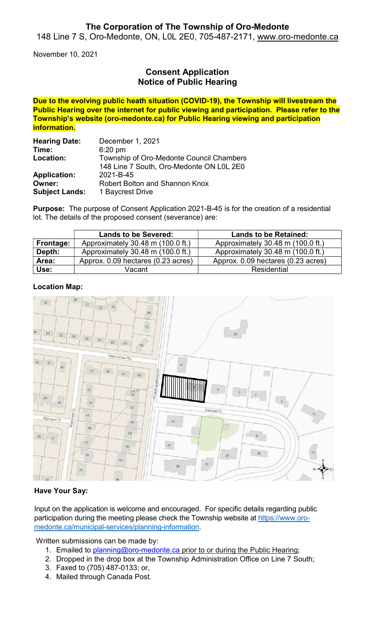## The Corporation of The Township of Oro-Medonte

148 Line 7 S, Oro-Medonte, ON, L0L 2E0, 705-487-2171, www.oro-medonte.ca

November 10, 2021

# Consent Application Notice of Public Hearing

Due to the evolving public heath situation (COVID-19), the Township will livestream the Public Hearing over the internet for public viewing and participation. Please refer to the Township's website (oro-medonte.ca) for Public Hearing viewing and participation information.

| <b>Hearing Date:</b>  | December 1, 2021                         |  |
|-----------------------|------------------------------------------|--|
| Time:                 | $6:20$ pm                                |  |
| Location:             | Township of Oro-Medonte Council Chambers |  |
|                       | 148 Line 7 South, Oro-Medonte ON L0L 2E0 |  |
| <b>Application:</b>   | 2021-B-45                                |  |
| Owner:                | Robert Bolton and Shannon Knox           |  |
| <b>Subject Lands:</b> | 1 Baycrest Drive                         |  |

Purpose: The purpose of Consent Application 2021-B-45 is for the creation of a residential lot. The details of the proposed consent (severance) are:

|           | <b>Lands to be Severed:</b>        | <b>Lands to be Retained:</b>       |
|-----------|------------------------------------|------------------------------------|
| Frontage: | Approximately 30.48 m (100.0 ft.)  | Approximately 30.48 m (100.0 ft.)  |
| Depth:    | Approximately 30.48 m (100.0 ft.)  | Approximately 30.48 m (100.0 ft.)  |
| Area:     | Approx. 0.09 hectares (0.23 acres) | Approx. 0.09 hectares (0.23 acres) |
| Use:      | ∨acant                             | Residential                        |

#### Location Map:



## Have Your Say:

Input on the application is welcome and encouraged. For specific details regarding public participation during the meeting please check the Township website at https://www.oromedonte.ca/municipal-services/planning-information.

Written submissions can be made by:

- 1. Emailed to planning@oro-medonte.ca prior to or during the Public Hearing;
- 2. Dropped in the drop box at the Township Administration Office on Line 7 South;
- 3. Faxed to (705) 487-0133; or,
- 4. Mailed through Canada Post.